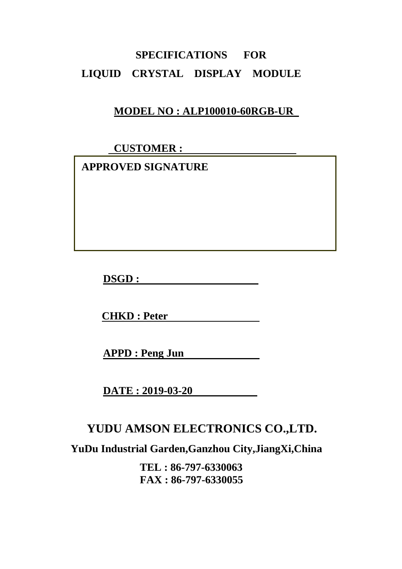# **SPECIFICATIONS FOR LIQUID CRYSTAL DISPLAY MODULE**

#### **MODEL NO : ALP100010-60RGB-UR**

 **CUSTOMER :** 

 **APPROVED SIGNATURE** 

**DSGD :** 

**CHKD : Peter** 

**APPD : Peng Jun** 

**DATE : 2019-03-20** 

## **YUDU AMSON ELECTRONICS CO.,LTD.**

**YuDu Industrial Garden,Ganzhou City,JiangXi,China** 

**TEL : 86-797-6330063 FAX : 86-797-6330055**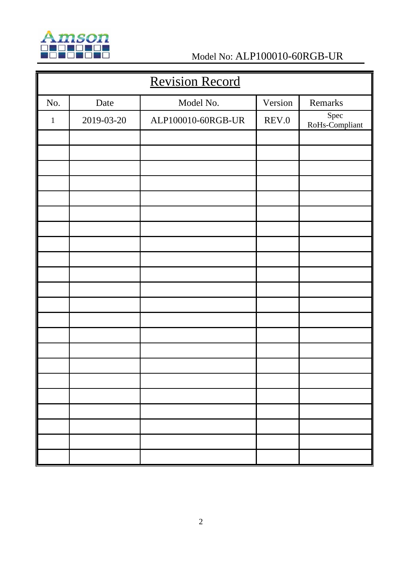

# **MSON**<br>ALP100010-60RGB-UR<br>Model No: ALP100010-60RGB-UR

| <b>Revision Record</b> |            |                    |         |                        |  |
|------------------------|------------|--------------------|---------|------------------------|--|
| No.                    | Date       | Model No.          | Version | Remarks                |  |
| $\mathbf{1}$           | 2019-03-20 | ALP100010-60RGB-UR | REV.0   | Spec<br>RoHs-Compliant |  |
|                        |            |                    |         |                        |  |
|                        |            |                    |         |                        |  |
|                        |            |                    |         |                        |  |
|                        |            |                    |         |                        |  |
|                        |            |                    |         |                        |  |
|                        |            |                    |         |                        |  |
|                        |            |                    |         |                        |  |
|                        |            |                    |         |                        |  |
|                        |            |                    |         |                        |  |
|                        |            |                    |         |                        |  |
|                        |            |                    |         |                        |  |
|                        |            |                    |         |                        |  |
|                        |            |                    |         |                        |  |
|                        |            |                    |         |                        |  |
|                        |            |                    |         |                        |  |
|                        |            |                    |         |                        |  |
|                        |            |                    |         |                        |  |
|                        |            |                    |         |                        |  |
|                        |            |                    |         |                        |  |
|                        |            |                    |         |                        |  |
|                        |            |                    |         |                        |  |
|                        |            |                    |         |                        |  |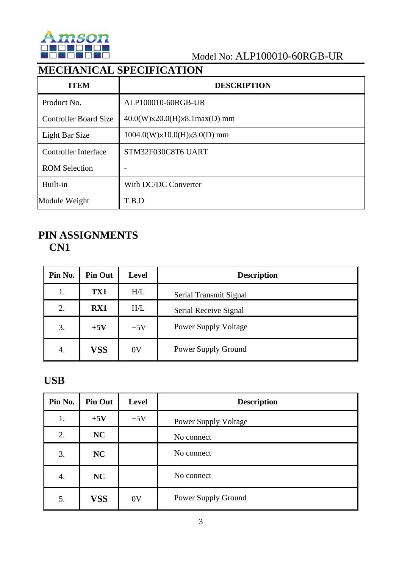

#### Model No: ALP100010-60RGB-UR

## **MECHANICAL SPECIFICATION**

| <b>ITEM</b>                  | <b>DESCRIPTION</b>                        |
|------------------------------|-------------------------------------------|
| Product No.                  | ALP100010-60RGB-UR                        |
| <b>Controller Board Size</b> | $40.0(W)\times20.0(H)\times8.1max(D)$ mm  |
| Light Bar Size               | $1004.0(W)\times 10.0(H)\times 3.0(D)$ mm |
| Controller Interface         | STM32F030C8T6 UART                        |
| <b>ROM Selection</b>         |                                           |
| Built-in                     | With DC/DC Converter                      |
| Module Weight                | T.B.D                                     |

#### **PIN ASSIGNMENTS CN1**

| Pin No. | <b>Pin Out</b> | <b>Level</b> | <b>Description</b>          |
|---------|----------------|--------------|-----------------------------|
| 1.      | TX1            | H/L          | Serial Transmit Signal      |
| 2.      | RX1            | H/L          | Serial Receive Signal       |
| 3.      | $+5V$          | $+5V$        | <b>Power Supply Voltage</b> |
| 4.      | VSS            | 0V           | <b>Power Supply Ground</b>  |

#### **USB**

| Pin No. | <b>Pin Out</b> | <b>Level</b> | <b>Description</b>          |
|---------|----------------|--------------|-----------------------------|
| 1.      | $+5V$          | $+5V$        | <b>Power Supply Voltage</b> |
| 2.      | NC             |              | No connect                  |
| 3.      | NC             |              | No connect                  |
| 4.      | NC             |              | No connect                  |
| 5.      | <b>VSS</b>     | 0V           | Power Supply Ground         |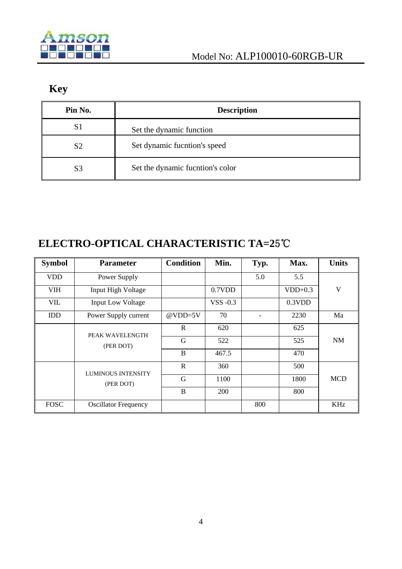

## **Key**

| Pin No.        | <b>Description</b>               |
|----------------|----------------------------------|
| S1             | Set the dynamic function         |
| S <sub>2</sub> | Set dynamic fucntion's speed     |
| S <sub>3</sub> | Set the dynamic fucntion's color |

## **ELECTRO-OPTICAL CHARACTERISTIC TA=2**5℃

| <b>Symbol</b> | <b>Parameter</b>             | <b>Condition</b> | Min.     | Typ. | Max.      | <b>Units</b> |
|---------------|------------------------------|------------------|----------|------|-----------|--------------|
| <b>VDD</b>    | Power Supply                 |                  |          | 5.0  | 5.5       |              |
| <b>VIH</b>    | Input High Voltage           |                  | 0.7VDD   |      | $VDD+0.3$ | V            |
| <b>VIL</b>    | <b>Input Low Voltage</b>     |                  | VSS -0.3 |      | 0.3VDD    |              |
| <b>IDD</b>    | Power Supply current         | $@VDD=5V$        | 70       |      | 2230      | Ma           |
|               | PEAK WAVELENGTH<br>(PER DOT) | R                | 620      |      | 625       |              |
|               |                              | G                | 522      |      | 525       | <b>NM</b>    |
|               |                              | B                | 467.5    |      | 470       |              |
|               | <b>LUMINOUS INTENSITY</b>    | R                | 360      |      | 500       |              |
|               | (PER DOT)                    | G                | 1100     |      | 1800      | <b>MCD</b>   |
|               |                              |                  | 200      |      | 800       |              |
| <b>FOSC</b>   | <b>Oscillator Frequency</b>  |                  |          | 800  |           | <b>KHz</b>   |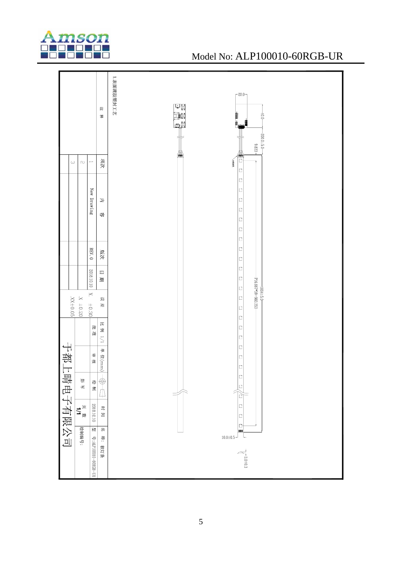

#### Model No: ALP100010-60RGB-UR

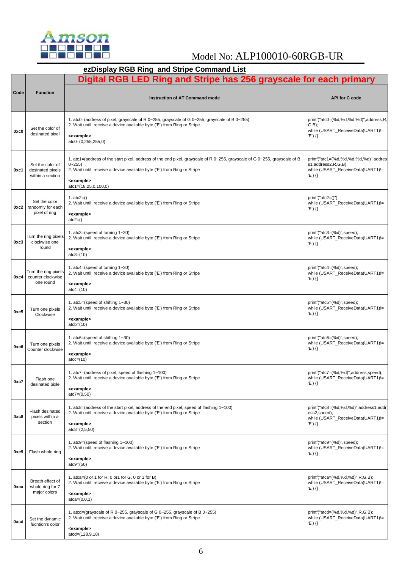

### Model No: ALP100010-60RGB-UR

|      | ezDisplay RGB Ring and Stripe Command List                         |                                                                                                                                                                                                                                                                                             |                                                                                                                 |  |  |  |
|------|--------------------------------------------------------------------|---------------------------------------------------------------------------------------------------------------------------------------------------------------------------------------------------------------------------------------------------------------------------------------------|-----------------------------------------------------------------------------------------------------------------|--|--|--|
|      | Digital RGB LED Ring and Stripe has 256 grayscale for each primary |                                                                                                                                                                                                                                                                                             |                                                                                                                 |  |  |  |
| Code | <b>Function</b>                                                    | <b>Instruction of AT Command mode</b>                                                                                                                                                                                                                                                       | <b>API for C code</b>                                                                                           |  |  |  |
| 0xc0 | Set the color of<br>desinated pixel                                | 1. atc0=(address of pixel, grayscale of R $0\nu$ -255, grayscale of G $0\nu$ -255, grayscale of B $0\nu$ -255)<br>2. Wait until receive a device available byte ('E') from Ring or Stripe<br><example><br/><math>atc0=(0,255,255,0)</math></example>                                        | printf("atc0=(%d,%d,%d,%d)",address,R,<br>$(G,B)$ ;<br>while (USART_ReceiveData(UART1)!=<br>'E') {}             |  |  |  |
| 0xc1 | Set the color of<br>desinated pixels<br>within a section           | 1. atc1=(address of the start pixel, address of the end pixel, grayscale of R 0~255, grayscale of G 0~255, grayscale of B<br>$0 - 255$<br>2. Wait until receive a device available byte ('E') from Ring or Stripe<br><example><br/><math>\text{atc1} = (18, 25, 0, 100, 0)</math></example> | printf("atc1=(%d,%d,%d,%d,%d)",addres<br>s1,address2,R,G,B);<br>while (USART_ReceiveData(UART1)!=<br>$'E'\}$ {} |  |  |  |
| 0xc2 | Set the color<br>randomly for each<br>pixel of ring                | 1. $atc2=()$<br>2. Wait until receive a device available byte ('E') from Ring or Stripe<br><example><br/><math>\text{atc2=}()</math></example>                                                                                                                                              | $print("atc2=()")$ ;<br>while (USART_ReceiveData(UART1)!=<br>'E') {}                                            |  |  |  |
| 0xc3 | Turn the ring pixels<br>clockwise one<br>round                     | 1. atc3=(speed of turning $1 - 30$ )<br>2. Wait until receive a device available byte ('E') from Ring or Stripe<br><example><br/><math>\text{atc3} = (10)</math></example>                                                                                                                  | printf("atc3=(%d)",speed);<br>while (USART_ReceiveData(UART1)!=<br>$'E')$ {}                                    |  |  |  |
| 0xc4 | Turn the ring pixels<br>counter clockwise<br>one round             | 1. atc4=(speed of turning $1 - 30$ )<br>2. Wait until receive a device available byte ('E') from Ring or Stripe<br><example><br/><math>\text{atc4} = (10)</math></example>                                                                                                                  | printf("atc4=(%d)",speed);<br>while (USART_ReceiveData(UART1)!=<br>$'E'\}$ {}                                   |  |  |  |
| 0xc5 | Turn one pixels<br>Clockwise                                       | 1. atc5=(speed of shifting $1 - 30$ )<br>2. Wait until receive a device available byte ('E') from Ring or Stripe<br><example><br/><math>atcb=(10)</math></example>                                                                                                                          | printf("atc5=(%d)",speed);<br>while (USART_ReceiveData(UART1)!=<br>$'E') \{\}$                                  |  |  |  |
| 0xc6 | Turn one pixels<br>Counter clockwise                               | 1. atc6=(speed of shifting $1 - 30$ )<br>2. Wait until receive a device available byte ('E') from Ring or Stripe<br><example><br/><math>\text{atcc} = (10)</math></example>                                                                                                                 | printf("atc6=(%d)",speed);<br>while (USART_ReceiveData(UART1)!=<br>$'E'\}$ {}                                   |  |  |  |
| 0xc7 | Flash one<br>desinated pixle                                       | 1. atc7=(address of pixel, speed of flashing 1~100)<br>2. Wait until receive a device available byte ('E') from Ring or Stripe<br><example><br/><math>\text{atc7} = (0, 50)</math></example>                                                                                                | printf("atc7=(%d,%d)",address,speed);<br>while (USART ReceiveData(UART1)!=<br>$'E') \{\}$                       |  |  |  |
| 0xc8 | Flash desinated<br>pixels within a<br>section                      | 1. atc8=(address of the start pixel, address of the end pixel, speed of flashing $1 \sim 100$ )<br>2. Wait until receive a device available byte ('E') from Ring or Stripe<br><example><br/><math>\text{atc8} = (2, 5, 50)</math></example>                                                 | printf("atc8=(%d,%d,%d)",address1,addr<br>ess2, speed);<br>while (USART ReceiveData(UART1)!=<br>'E') {}         |  |  |  |
| 0xc9 | Flash whole ring                                                   | 1. atc9=(speed of flashing $1~1$ -100)<br>2. Wait until receive a device available byte ('E') from Ring or Stripe<br><example><br/><math>\text{atc9} = (50)</math></example>                                                                                                                | printf("atc9=(%d)",speed);<br>while (USART_ReceiveData(UART1)!=<br>'E') {}                                      |  |  |  |
| 0xca | Breath effect of<br>whole ring for 7<br>major colors               | 1. atca= $(0 \text{ or } 1 \text{ for } R, 0 \text{ or } 1 \text{ for } G, 0 \text{ or } 1 \text{ for } B)$<br>2. Wait until receive a device available byte ('E') from Ring or Stripe<br><example><br/><math>\text{atca} = (0, 0, 1)</math></example>                                      | printf("atca=(%d,%d,%d)",R,G,B);<br>while (USART_ReceiveData(UART1)!=<br>'E') {}                                |  |  |  |
| 0xcd | Set the dynamic<br>fucntion's color                                | 1. atcd=(grayscale of R $0\nu$ -255, grayscale of G $0\nu$ -255, grayscale of B $0\nu$ -255)<br>2. Wait until receive a device available byte ('E') from Ring or Stripe<br><example><br/>atcd=(128,9,18)</example>                                                                          | printf("atcd=(%d,%d,%d)",R,G,B);<br>while (USART_ReceiveData(UART1)!=<br>$'E') \{\}$                            |  |  |  |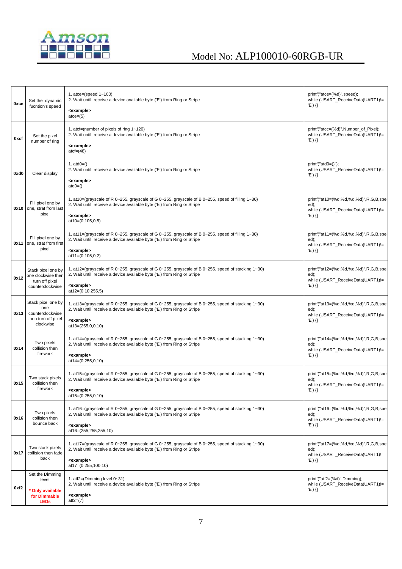

| 0xce | Set the dynamic<br>fucntion's speed                                            | 1. atce=(speed $1~1$ -100)<br>2. Wait until receive a device available byte ('E') from Ring or Stripe                                                                              | printf("atce=(%d)",speed);<br>while (USART_ReceiveData(UART1)!=<br>'E') {} |
|------|--------------------------------------------------------------------------------|------------------------------------------------------------------------------------------------------------------------------------------------------------------------------------|----------------------------------------------------------------------------|
|      |                                                                                | <example><br/><math>\text{atce} = (5)</math></example>                                                                                                                             |                                                                            |
| 0xcf | Set the pixel                                                                  | 1. at $t =$ (number of pixels of ring $1 - 120$ )<br>2. Wait until receive a device available byte ('E') from Ring or Stripe                                                       | printf("atcc=(%d)", Number of Pixel);<br>while (USART_ReceiveData(UART1)!= |
|      | number of ring                                                                 | <example><br/><math>\text{act} = (48)</math></example>                                                                                                                             | $'E'\$ {}                                                                  |
| 0xd0 | Clear display                                                                  | 1. $atd0=()$<br>2. Wait until receive a device available byte ('E') from Ring or Stripe                                                                                            | $print("atd0=()")$ ;<br>while (USART_ReceiveData(UART1)!=                  |
|      |                                                                                | <example><br/><math>atd0=()</math></example>                                                                                                                                       | 'E') {}                                                                    |
| 0x10 | Fill pixel one by<br>one, strat from last                                      | 1. at $10 = (grayscale of R 0~255, grayscale of G 0~255, grayscale of B 0~255, speed of filling 1~30)$<br>2. Wait until receive a device available byte ('E') from Ring or Stripe  | printf("at10=(%d,%d,%d,%d)",R,G,B,spe<br>ed);                              |
|      | pixel                                                                          | <example><br/><math>at10=(0,105,0,5)</math></example>                                                                                                                              | while (USART_ReceiveData(UART1)!=<br>'E') {}                               |
|      | Fill pixel one by                                                              | 1. at $11 = (grayscale of R 0~255, grayscale of G 0~255, grayscale of B 0~255, speed of filling 1~30)$<br>2. Wait until receive a device available byte ('E') from Ring or Stripe  | printf("at11=(%d,%d,%d,%d)",R,G,B,spe<br>ed);                              |
| 0x11 | one, strat from first<br>pixel                                                 | <example><br/><math>at1=(0,105,0,2)</math></example>                                                                                                                               | while (USART_ReceiveData(UART1)!=<br>'E') {}                               |
|      | Stack pixel one by<br>one clockwise then<br>turn off pixel<br>counterclockwise | 1. at $12 = (grayscale of R 0~255, grayscale of G 0~255, grayscale of B 0~255, speed of stacking 1~30)$<br>2. Wait until receive a device available byte ('E') from Ring or Stripe | printf("at12=(%d,%d,%d,%d)",R,G,B,spe<br>ed);                              |
| 0x12 |                                                                                | <example><br/>at12=(0,10,255,5)</example>                                                                                                                                          | while (USART ReceiveData(UART1)!=<br>'E') {}                               |
|      | Stack pixel one by<br>one                                                      | 1. at 13=(grayscale of R 0~255, grayscale of G 0~255, grayscale of B 0~255, speed of stacking 1~30)<br>2. Wait until receive a device available byte ('E') from Ring or Stripe     | printf("at13=(%d,%d,%d,%d)",R,G,B,spe<br>ed);                              |
| 0x13 | counterclockwise<br>then turn off pixel<br>clockwise                           | <example><br/>at13=(255,0,0,10)</example>                                                                                                                                          | while (USART_ReceiveData(UART1)!=<br>'E') {}                               |
|      | Two pixels                                                                     | 1. at14=(grayscale of R 0~255, grayscale of G 0~255, grayscale of B 0~255, speed of stacking 1~30)<br>2. Wait until receive a device available byte ('E') from Ring or Stripe      | printf("at14=(%d,%d,%d,%d)",R,G,B,spe<br>ed);                              |
| 0x14 | collision then<br>firework                                                     | <example><br/>at14=(0,255,0,10)</example>                                                                                                                                          | while (USART_ReceiveData(UART1)!=<br>'E') {}                               |
|      | Two stack pixels                                                               | 1. at $15 = (grayscale of R 0~255, grayscale of G 0~255, grayscale of B 0~255, speed of stacking 1~30)$<br>2. Wait until receive a device available byte ('E') from Ring or Stripe | printf("at15=(%d,%d,%d,%d)",R,G,B,spe<br>ed);                              |
| 0x15 | collision then<br>firework                                                     | <example><br/>at15=(0,255,0,10)</example>                                                                                                                                          | while (USART_ReceiveData(UART1)!=<br>'E') {}                               |
|      | Two pixels                                                                     | 1. at $16 = (grayscale of R 0~255, grayscale of G 0~255, grayscale of B 0~255, speed of stacking 1~30)$<br>2. Wait until receive a device available byte ('E') from Ring or Stripe | printf("at16=(%d,%d,%d,%d)",R,G,B,spe<br>ed);                              |
| 0x16 | collision then<br>bounce back                                                  | <example><br/>at16=(255,255,255,10)</example>                                                                                                                                      | while (USART_ReceiveData(UART1)!=<br>'E') {}                               |
|      | Two stack pixels                                                               | 1. at17=(grayscale of R 0~255, grayscale of G 0~255, grayscale of B 0~255, speed of stacking 1~30)<br>2. Wait until receive a device available byte ('E') from Ring or Stripe      | printf("at17=(%d,%d,%d,%d)",R,G,B,spe<br>ed);                              |
| 0x17 | collision then fade<br>back                                                    | <example><br/>at17=(0,255,100,10)</example>                                                                                                                                        | while (USART_ReceiveData(UART1)!=<br>'E') {}                               |
|      | Set the Dimming                                                                | 1. at $2=(Dimming level 0-31)$                                                                                                                                                     | printf("atf2=(%d)",Dimming);                                               |
| 0xf2 | level<br><b>Only available</b>                                                 | 2. Wait until receive a device available byte ('E') from Ring or Stripe                                                                                                            | while (USART_ReceiveData(UART1)!=<br>'E') {}                               |
|      | for Dimmable<br><b>LEDs</b>                                                    | <example><br/><math>atf2=(7)</math></example>                                                                                                                                      |                                                                            |